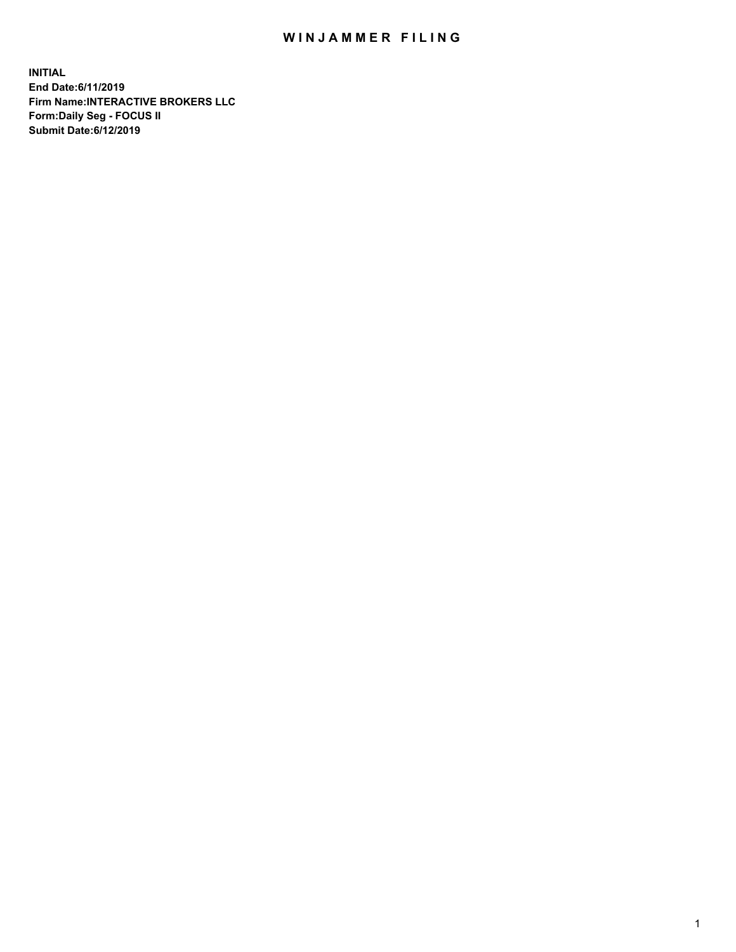## WIN JAMMER FILING

**INITIAL End Date:6/11/2019 Firm Name:INTERACTIVE BROKERS LLC Form:Daily Seg - FOCUS II Submit Date:6/12/2019**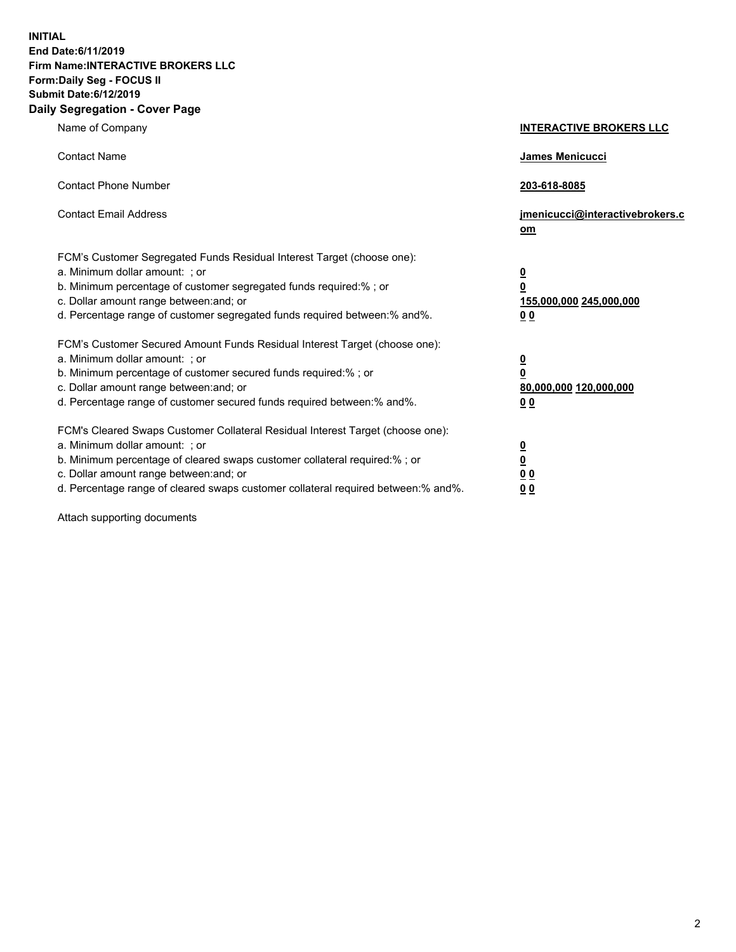**INITIAL End Date:6/11/2019 Firm Name:INTERACTIVE BROKERS LLC Form:Daily Seg - FOCUS II Submit Date:6/12/2019 Daily Segregation - Cover Page**

| Name of Company                                                                                                                                                                                                                                                                                                                | <b>INTERACTIVE BROKERS LLC</b>                                                                  |
|--------------------------------------------------------------------------------------------------------------------------------------------------------------------------------------------------------------------------------------------------------------------------------------------------------------------------------|-------------------------------------------------------------------------------------------------|
| <b>Contact Name</b>                                                                                                                                                                                                                                                                                                            | James Menicucci                                                                                 |
| <b>Contact Phone Number</b>                                                                                                                                                                                                                                                                                                    | 203-618-8085                                                                                    |
| <b>Contact Email Address</b>                                                                                                                                                                                                                                                                                                   | jmenicucci@interactivebrokers.c<br>om                                                           |
| FCM's Customer Segregated Funds Residual Interest Target (choose one):<br>a. Minimum dollar amount: ; or<br>b. Minimum percentage of customer segregated funds required:% ; or<br>c. Dollar amount range between: and; or<br>d. Percentage range of customer segregated funds required between:% and%.                         | $\overline{\mathbf{0}}$<br>$\overline{\mathbf{0}}$<br>155,000,000 245,000,000<br>0 <sub>0</sub> |
| FCM's Customer Secured Amount Funds Residual Interest Target (choose one):<br>a. Minimum dollar amount: ; or<br>b. Minimum percentage of customer secured funds required:% ; or<br>c. Dollar amount range between: and; or<br>d. Percentage range of customer secured funds required between:% and%.                           | $\overline{\mathbf{0}}$<br>0<br>80,000,000 120,000,000<br>0 <sub>0</sub>                        |
| FCM's Cleared Swaps Customer Collateral Residual Interest Target (choose one):<br>a. Minimum dollar amount: ; or<br>b. Minimum percentage of cleared swaps customer collateral required:% ; or<br>c. Dollar amount range between: and; or<br>d. Percentage range of cleared swaps customer collateral required between:% and%. | $\overline{\mathbf{0}}$<br><u>0</u><br>$\underline{0}$ $\underline{0}$<br>00                    |

Attach supporting documents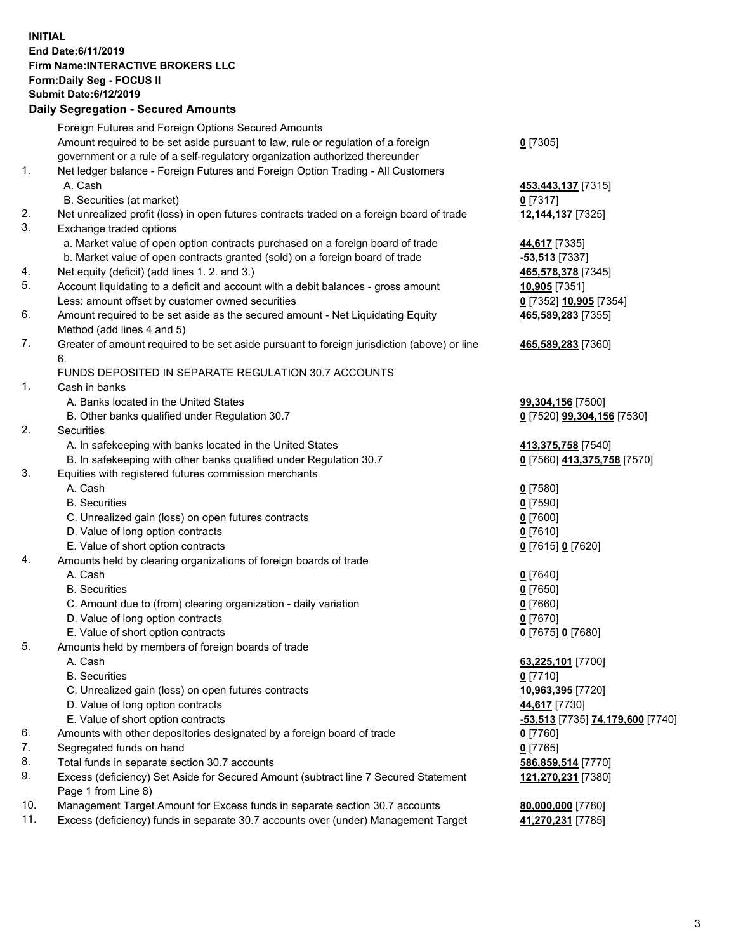## **INITIAL End Date:6/11/2019 Firm Name:INTERACTIVE BROKERS LLC Form:Daily Seg - FOCUS II Submit Date:6/12/2019 Daily Segregation - Secured Amounts**

| Dany Segregation - Secured Amounts                                                        |                                                                                                                                                                                                                                                                                                                                                                                                                                                                                                                                                                                                                                                                                                                                                                                                                                                                                                                                                                                                                                                                                                                                                                                                                                                                                                                                                                                                                                                                                                                                                                                                                                                                                                                                                                                                                                          |
|-------------------------------------------------------------------------------------------|------------------------------------------------------------------------------------------------------------------------------------------------------------------------------------------------------------------------------------------------------------------------------------------------------------------------------------------------------------------------------------------------------------------------------------------------------------------------------------------------------------------------------------------------------------------------------------------------------------------------------------------------------------------------------------------------------------------------------------------------------------------------------------------------------------------------------------------------------------------------------------------------------------------------------------------------------------------------------------------------------------------------------------------------------------------------------------------------------------------------------------------------------------------------------------------------------------------------------------------------------------------------------------------------------------------------------------------------------------------------------------------------------------------------------------------------------------------------------------------------------------------------------------------------------------------------------------------------------------------------------------------------------------------------------------------------------------------------------------------------------------------------------------------------------------------------------------------|
| Foreign Futures and Foreign Options Secured Amounts                                       |                                                                                                                                                                                                                                                                                                                                                                                                                                                                                                                                                                                                                                                                                                                                                                                                                                                                                                                                                                                                                                                                                                                                                                                                                                                                                                                                                                                                                                                                                                                                                                                                                                                                                                                                                                                                                                          |
| Amount required to be set aside pursuant to law, rule or regulation of a foreign          | $0$ [7305]                                                                                                                                                                                                                                                                                                                                                                                                                                                                                                                                                                                                                                                                                                                                                                                                                                                                                                                                                                                                                                                                                                                                                                                                                                                                                                                                                                                                                                                                                                                                                                                                                                                                                                                                                                                                                               |
| government or a rule of a self-regulatory organization authorized thereunder              |                                                                                                                                                                                                                                                                                                                                                                                                                                                                                                                                                                                                                                                                                                                                                                                                                                                                                                                                                                                                                                                                                                                                                                                                                                                                                                                                                                                                                                                                                                                                                                                                                                                                                                                                                                                                                                          |
| Net ledger balance - Foreign Futures and Foreign Option Trading - All Customers           |                                                                                                                                                                                                                                                                                                                                                                                                                                                                                                                                                                                                                                                                                                                                                                                                                                                                                                                                                                                                                                                                                                                                                                                                                                                                                                                                                                                                                                                                                                                                                                                                                                                                                                                                                                                                                                          |
| A. Cash                                                                                   | 453,443,137 [7315]                                                                                                                                                                                                                                                                                                                                                                                                                                                                                                                                                                                                                                                                                                                                                                                                                                                                                                                                                                                                                                                                                                                                                                                                                                                                                                                                                                                                                                                                                                                                                                                                                                                                                                                                                                                                                       |
| B. Securities (at market)                                                                 | $0$ [7317]                                                                                                                                                                                                                                                                                                                                                                                                                                                                                                                                                                                                                                                                                                                                                                                                                                                                                                                                                                                                                                                                                                                                                                                                                                                                                                                                                                                                                                                                                                                                                                                                                                                                                                                                                                                                                               |
| Net unrealized profit (loss) in open futures contracts traded on a foreign board of trade | 12,144,137 [7325]                                                                                                                                                                                                                                                                                                                                                                                                                                                                                                                                                                                                                                                                                                                                                                                                                                                                                                                                                                                                                                                                                                                                                                                                                                                                                                                                                                                                                                                                                                                                                                                                                                                                                                                                                                                                                        |
| Exchange traded options                                                                   |                                                                                                                                                                                                                                                                                                                                                                                                                                                                                                                                                                                                                                                                                                                                                                                                                                                                                                                                                                                                                                                                                                                                                                                                                                                                                                                                                                                                                                                                                                                                                                                                                                                                                                                                                                                                                                          |
| a. Market value of open option contracts purchased on a foreign board of trade            | 44,617 [7335]                                                                                                                                                                                                                                                                                                                                                                                                                                                                                                                                                                                                                                                                                                                                                                                                                                                                                                                                                                                                                                                                                                                                                                                                                                                                                                                                                                                                                                                                                                                                                                                                                                                                                                                                                                                                                            |
| b. Market value of open contracts granted (sold) on a foreign board of trade              | -53,513 [7337]                                                                                                                                                                                                                                                                                                                                                                                                                                                                                                                                                                                                                                                                                                                                                                                                                                                                                                                                                                                                                                                                                                                                                                                                                                                                                                                                                                                                                                                                                                                                                                                                                                                                                                                                                                                                                           |
| Net equity (deficit) (add lines 1. 2. and 3.)                                             | 465,578,378 [7345]                                                                                                                                                                                                                                                                                                                                                                                                                                                                                                                                                                                                                                                                                                                                                                                                                                                                                                                                                                                                                                                                                                                                                                                                                                                                                                                                                                                                                                                                                                                                                                                                                                                                                                                                                                                                                       |
|                                                                                           | 10,905 [7351]                                                                                                                                                                                                                                                                                                                                                                                                                                                                                                                                                                                                                                                                                                                                                                                                                                                                                                                                                                                                                                                                                                                                                                                                                                                                                                                                                                                                                                                                                                                                                                                                                                                                                                                                                                                                                            |
|                                                                                           | 0 [7352] 10,905 [7354]                                                                                                                                                                                                                                                                                                                                                                                                                                                                                                                                                                                                                                                                                                                                                                                                                                                                                                                                                                                                                                                                                                                                                                                                                                                                                                                                                                                                                                                                                                                                                                                                                                                                                                                                                                                                                   |
|                                                                                           | 465,589,283 [7355]                                                                                                                                                                                                                                                                                                                                                                                                                                                                                                                                                                                                                                                                                                                                                                                                                                                                                                                                                                                                                                                                                                                                                                                                                                                                                                                                                                                                                                                                                                                                                                                                                                                                                                                                                                                                                       |
|                                                                                           |                                                                                                                                                                                                                                                                                                                                                                                                                                                                                                                                                                                                                                                                                                                                                                                                                                                                                                                                                                                                                                                                                                                                                                                                                                                                                                                                                                                                                                                                                                                                                                                                                                                                                                                                                                                                                                          |
|                                                                                           | 465,589,283 [7360]                                                                                                                                                                                                                                                                                                                                                                                                                                                                                                                                                                                                                                                                                                                                                                                                                                                                                                                                                                                                                                                                                                                                                                                                                                                                                                                                                                                                                                                                                                                                                                                                                                                                                                                                                                                                                       |
|                                                                                           |                                                                                                                                                                                                                                                                                                                                                                                                                                                                                                                                                                                                                                                                                                                                                                                                                                                                                                                                                                                                                                                                                                                                                                                                                                                                                                                                                                                                                                                                                                                                                                                                                                                                                                                                                                                                                                          |
|                                                                                           |                                                                                                                                                                                                                                                                                                                                                                                                                                                                                                                                                                                                                                                                                                                                                                                                                                                                                                                                                                                                                                                                                                                                                                                                                                                                                                                                                                                                                                                                                                                                                                                                                                                                                                                                                                                                                                          |
|                                                                                           |                                                                                                                                                                                                                                                                                                                                                                                                                                                                                                                                                                                                                                                                                                                                                                                                                                                                                                                                                                                                                                                                                                                                                                                                                                                                                                                                                                                                                                                                                                                                                                                                                                                                                                                                                                                                                                          |
|                                                                                           | 99,304,156 [7500]                                                                                                                                                                                                                                                                                                                                                                                                                                                                                                                                                                                                                                                                                                                                                                                                                                                                                                                                                                                                                                                                                                                                                                                                                                                                                                                                                                                                                                                                                                                                                                                                                                                                                                                                                                                                                        |
|                                                                                           | 0 [7520] 99,304,156 [7530]                                                                                                                                                                                                                                                                                                                                                                                                                                                                                                                                                                                                                                                                                                                                                                                                                                                                                                                                                                                                                                                                                                                                                                                                                                                                                                                                                                                                                                                                                                                                                                                                                                                                                                                                                                                                               |
|                                                                                           |                                                                                                                                                                                                                                                                                                                                                                                                                                                                                                                                                                                                                                                                                                                                                                                                                                                                                                                                                                                                                                                                                                                                                                                                                                                                                                                                                                                                                                                                                                                                                                                                                                                                                                                                                                                                                                          |
|                                                                                           | 413,375,758 [7540]                                                                                                                                                                                                                                                                                                                                                                                                                                                                                                                                                                                                                                                                                                                                                                                                                                                                                                                                                                                                                                                                                                                                                                                                                                                                                                                                                                                                                                                                                                                                                                                                                                                                                                                                                                                                                       |
|                                                                                           | 0 [7560] 413,375,758 [7570]                                                                                                                                                                                                                                                                                                                                                                                                                                                                                                                                                                                                                                                                                                                                                                                                                                                                                                                                                                                                                                                                                                                                                                                                                                                                                                                                                                                                                                                                                                                                                                                                                                                                                                                                                                                                              |
|                                                                                           |                                                                                                                                                                                                                                                                                                                                                                                                                                                                                                                                                                                                                                                                                                                                                                                                                                                                                                                                                                                                                                                                                                                                                                                                                                                                                                                                                                                                                                                                                                                                                                                                                                                                                                                                                                                                                                          |
|                                                                                           | $0$ [7580]                                                                                                                                                                                                                                                                                                                                                                                                                                                                                                                                                                                                                                                                                                                                                                                                                                                                                                                                                                                                                                                                                                                                                                                                                                                                                                                                                                                                                                                                                                                                                                                                                                                                                                                                                                                                                               |
|                                                                                           | $0$ [7590]                                                                                                                                                                                                                                                                                                                                                                                                                                                                                                                                                                                                                                                                                                                                                                                                                                                                                                                                                                                                                                                                                                                                                                                                                                                                                                                                                                                                                                                                                                                                                                                                                                                                                                                                                                                                                               |
|                                                                                           | $0$ [7600]                                                                                                                                                                                                                                                                                                                                                                                                                                                                                                                                                                                                                                                                                                                                                                                                                                                                                                                                                                                                                                                                                                                                                                                                                                                                                                                                                                                                                                                                                                                                                                                                                                                                                                                                                                                                                               |
|                                                                                           | $0$ [7610]                                                                                                                                                                                                                                                                                                                                                                                                                                                                                                                                                                                                                                                                                                                                                                                                                                                                                                                                                                                                                                                                                                                                                                                                                                                                                                                                                                                                                                                                                                                                                                                                                                                                                                                                                                                                                               |
|                                                                                           | 0 [7615] 0 [7620]                                                                                                                                                                                                                                                                                                                                                                                                                                                                                                                                                                                                                                                                                                                                                                                                                                                                                                                                                                                                                                                                                                                                                                                                                                                                                                                                                                                                                                                                                                                                                                                                                                                                                                                                                                                                                        |
|                                                                                           |                                                                                                                                                                                                                                                                                                                                                                                                                                                                                                                                                                                                                                                                                                                                                                                                                                                                                                                                                                                                                                                                                                                                                                                                                                                                                                                                                                                                                                                                                                                                                                                                                                                                                                                                                                                                                                          |
|                                                                                           | $0$ [7640]                                                                                                                                                                                                                                                                                                                                                                                                                                                                                                                                                                                                                                                                                                                                                                                                                                                                                                                                                                                                                                                                                                                                                                                                                                                                                                                                                                                                                                                                                                                                                                                                                                                                                                                                                                                                                               |
|                                                                                           | $0$ [7650]                                                                                                                                                                                                                                                                                                                                                                                                                                                                                                                                                                                                                                                                                                                                                                                                                                                                                                                                                                                                                                                                                                                                                                                                                                                                                                                                                                                                                                                                                                                                                                                                                                                                                                                                                                                                                               |
|                                                                                           | $0$ [7660]                                                                                                                                                                                                                                                                                                                                                                                                                                                                                                                                                                                                                                                                                                                                                                                                                                                                                                                                                                                                                                                                                                                                                                                                                                                                                                                                                                                                                                                                                                                                                                                                                                                                                                                                                                                                                               |
|                                                                                           | $0$ [7670]                                                                                                                                                                                                                                                                                                                                                                                                                                                                                                                                                                                                                                                                                                                                                                                                                                                                                                                                                                                                                                                                                                                                                                                                                                                                                                                                                                                                                                                                                                                                                                                                                                                                                                                                                                                                                               |
|                                                                                           | 0 [7675] 0 [7680]                                                                                                                                                                                                                                                                                                                                                                                                                                                                                                                                                                                                                                                                                                                                                                                                                                                                                                                                                                                                                                                                                                                                                                                                                                                                                                                                                                                                                                                                                                                                                                                                                                                                                                                                                                                                                        |
|                                                                                           |                                                                                                                                                                                                                                                                                                                                                                                                                                                                                                                                                                                                                                                                                                                                                                                                                                                                                                                                                                                                                                                                                                                                                                                                                                                                                                                                                                                                                                                                                                                                                                                                                                                                                                                                                                                                                                          |
|                                                                                           | 63,225,101 [7700]                                                                                                                                                                                                                                                                                                                                                                                                                                                                                                                                                                                                                                                                                                                                                                                                                                                                                                                                                                                                                                                                                                                                                                                                                                                                                                                                                                                                                                                                                                                                                                                                                                                                                                                                                                                                                        |
|                                                                                           | $0$ [7710]                                                                                                                                                                                                                                                                                                                                                                                                                                                                                                                                                                                                                                                                                                                                                                                                                                                                                                                                                                                                                                                                                                                                                                                                                                                                                                                                                                                                                                                                                                                                                                                                                                                                                                                                                                                                                               |
|                                                                                           | 10,963,395 [7720]                                                                                                                                                                                                                                                                                                                                                                                                                                                                                                                                                                                                                                                                                                                                                                                                                                                                                                                                                                                                                                                                                                                                                                                                                                                                                                                                                                                                                                                                                                                                                                                                                                                                                                                                                                                                                        |
|                                                                                           | 44,617 [7730]                                                                                                                                                                                                                                                                                                                                                                                                                                                                                                                                                                                                                                                                                                                                                                                                                                                                                                                                                                                                                                                                                                                                                                                                                                                                                                                                                                                                                                                                                                                                                                                                                                                                                                                                                                                                                            |
|                                                                                           | <mark>-53,513</mark> [7735] <b>74,179,600</b> [7740]                                                                                                                                                                                                                                                                                                                                                                                                                                                                                                                                                                                                                                                                                                                                                                                                                                                                                                                                                                                                                                                                                                                                                                                                                                                                                                                                                                                                                                                                                                                                                                                                                                                                                                                                                                                     |
|                                                                                           | $0$ [7760]                                                                                                                                                                                                                                                                                                                                                                                                                                                                                                                                                                                                                                                                                                                                                                                                                                                                                                                                                                                                                                                                                                                                                                                                                                                                                                                                                                                                                                                                                                                                                                                                                                                                                                                                                                                                                               |
|                                                                                           | $0$ [7765]                                                                                                                                                                                                                                                                                                                                                                                                                                                                                                                                                                                                                                                                                                                                                                                                                                                                                                                                                                                                                                                                                                                                                                                                                                                                                                                                                                                                                                                                                                                                                                                                                                                                                                                                                                                                                               |
|                                                                                           | 586,859,514 [7770]                                                                                                                                                                                                                                                                                                                                                                                                                                                                                                                                                                                                                                                                                                                                                                                                                                                                                                                                                                                                                                                                                                                                                                                                                                                                                                                                                                                                                                                                                                                                                                                                                                                                                                                                                                                                                       |
|                                                                                           | 121,270,231 [7380]                                                                                                                                                                                                                                                                                                                                                                                                                                                                                                                                                                                                                                                                                                                                                                                                                                                                                                                                                                                                                                                                                                                                                                                                                                                                                                                                                                                                                                                                                                                                                                                                                                                                                                                                                                                                                       |
|                                                                                           | 80,000,000 [7780]                                                                                                                                                                                                                                                                                                                                                                                                                                                                                                                                                                                                                                                                                                                                                                                                                                                                                                                                                                                                                                                                                                                                                                                                                                                                                                                                                                                                                                                                                                                                                                                                                                                                                                                                                                                                                        |
|                                                                                           | 41,270,231 [7785]                                                                                                                                                                                                                                                                                                                                                                                                                                                                                                                                                                                                                                                                                                                                                                                                                                                                                                                                                                                                                                                                                                                                                                                                                                                                                                                                                                                                                                                                                                                                                                                                                                                                                                                                                                                                                        |
|                                                                                           |                                                                                                                                                                                                                                                                                                                                                                                                                                                                                                                                                                                                                                                                                                                                                                                                                                                                                                                                                                                                                                                                                                                                                                                                                                                                                                                                                                                                                                                                                                                                                                                                                                                                                                                                                                                                                                          |
|                                                                                           | Account liquidating to a deficit and account with a debit balances - gross amount<br>Less: amount offset by customer owned securities<br>Amount required to be set aside as the secured amount - Net Liquidating Equity<br>Method (add lines 4 and 5)<br>Greater of amount required to be set aside pursuant to foreign jurisdiction (above) or line<br>6.<br>FUNDS DEPOSITED IN SEPARATE REGULATION 30.7 ACCOUNTS<br>Cash in banks<br>A. Banks located in the United States<br>B. Other banks qualified under Regulation 30.7<br>Securities<br>A. In safekeeping with banks located in the United States<br>B. In safekeeping with other banks qualified under Regulation 30.7<br>Equities with registered futures commission merchants<br>A. Cash<br><b>B.</b> Securities<br>C. Unrealized gain (loss) on open futures contracts<br>D. Value of long option contracts<br>E. Value of short option contracts<br>Amounts held by clearing organizations of foreign boards of trade<br>A. Cash<br><b>B.</b> Securities<br>C. Amount due to (from) clearing organization - daily variation<br>D. Value of long option contracts<br>E. Value of short option contracts<br>Amounts held by members of foreign boards of trade<br>A. Cash<br><b>B.</b> Securities<br>C. Unrealized gain (loss) on open futures contracts<br>D. Value of long option contracts<br>E. Value of short option contracts<br>Amounts with other depositories designated by a foreign board of trade<br>Segregated funds on hand<br>Total funds in separate section 30.7 accounts<br>Excess (deficiency) Set Aside for Secured Amount (subtract line 7 Secured Statement<br>Page 1 from Line 8)<br>Management Target Amount for Excess funds in separate section 30.7 accounts<br>Excess (deficiency) funds in separate 30.7 accounts over (under) Management Target |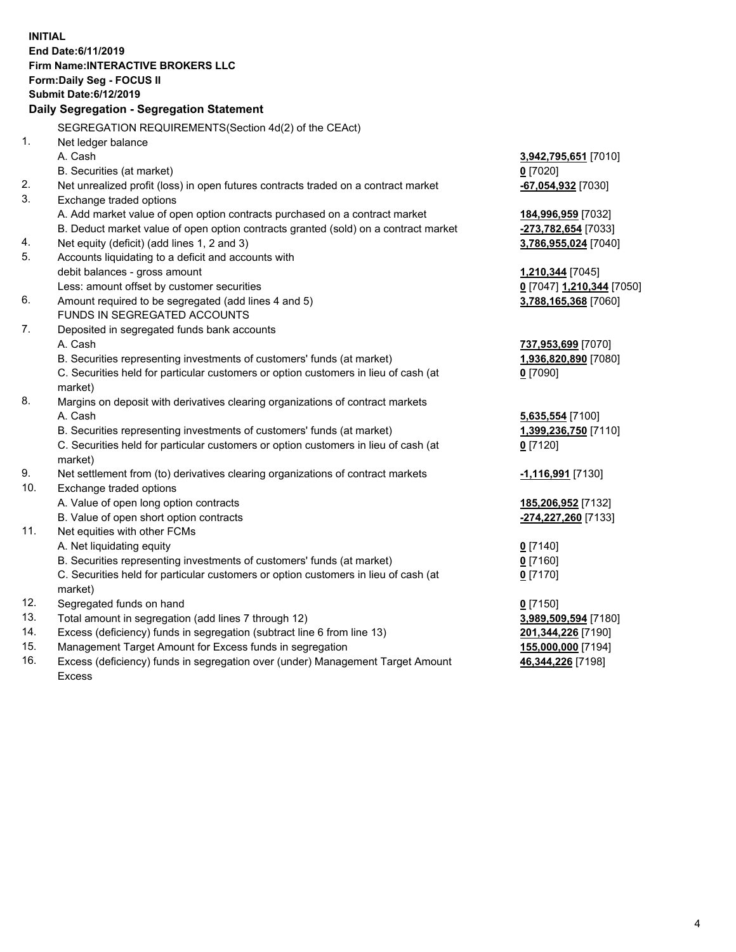**INITIAL End Date:6/11/2019 Firm Name:INTERACTIVE BROKERS LLC Form:Daily Seg - FOCUS II Submit Date:6/12/2019 Daily Segregation - Segregation Statement** SEGREGATION REQUIREMENTS(Section 4d(2) of the CEAct) 1. Net ledger balance A. Cash **3,942,795,651** [7010] B. Securities (at market) **0** [7020] 2. Net unrealized profit (loss) in open futures contracts traded on a contract market **-67,054,932** [7030] 3. Exchange traded options A. Add market value of open option contracts purchased on a contract market **184,996,959** [7032] B. Deduct market value of open option contracts granted (sold) on a contract market **-273,782,654** [7033] 4. Net equity (deficit) (add lines 1, 2 and 3) **3,786,955,024** [7040] 5. Accounts liquidating to a deficit and accounts with debit balances - gross amount **1,210,344** [7045] Less: amount offset by customer securities **0** [7047] **1,210,344** [7050] 6. Amount required to be segregated (add lines 4 and 5) **3,788,165,368** [7060] FUNDS IN SEGREGATED ACCOUNTS 7. Deposited in segregated funds bank accounts A. Cash **737,953,699** [7070] B. Securities representing investments of customers' funds (at market) **1,936,820,890** [7080] C. Securities held for particular customers or option customers in lieu of cash (at market) **0** [7090] 8. Margins on deposit with derivatives clearing organizations of contract markets A. Cash **5,635,554** [7100] B. Securities representing investments of customers' funds (at market) **1,399,236,750** [7110] C. Securities held for particular customers or option customers in lieu of cash (at market) **0** [7120] 9. Net settlement from (to) derivatives clearing organizations of contract markets **-1,116,991** [7130] 10. Exchange traded options A. Value of open long option contracts **185,206,952** [7132] B. Value of open short option contracts **-274,227,260** [7133] 11. Net equities with other FCMs A. Net liquidating equity **0** [7140] B. Securities representing investments of customers' funds (at market) **0** [7160] C. Securities held for particular customers or option customers in lieu of cash (at market) **0** [7170] 12. Segregated funds on hand **0** [7150] 13. Total amount in segregation (add lines 7 through 12) **3,989,509,594** [7180] 14. Excess (deficiency) funds in segregation (subtract line 6 from line 13) **201,344,226** [7190] 15. Management Target Amount for Excess funds in segregation **155,000,000** [7194]

16. Excess (deficiency) funds in segregation over (under) Management Target Amount Excess

**46,344,226** [7198]